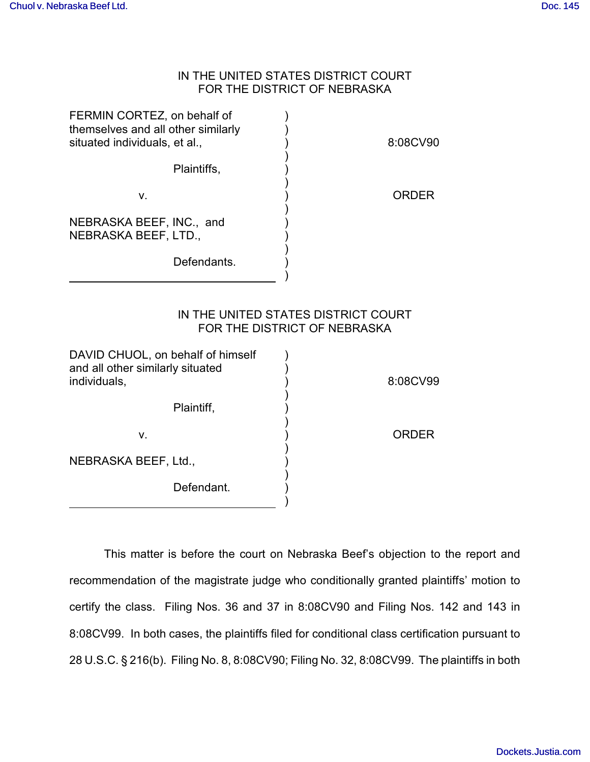## IN THE UNITED STATES DISTRICT COURT FOR THE DISTRICT OF NEBRASKA

| FERMIN CORTEZ, on behalf of<br>themselves and all other similarly<br>situated individuals, et al., | 8:08CV90                                                            |
|----------------------------------------------------------------------------------------------------|---------------------------------------------------------------------|
| Plaintiffs,                                                                                        |                                                                     |
| v.                                                                                                 | <b>ORDER</b>                                                        |
| NEBRASKA BEEF, INC., and<br>NEBRASKA BEEF, LTD.,                                                   |                                                                     |
| Defendants.                                                                                        |                                                                     |
|                                                                                                    | IN THE UNITED STATES DISTRICT COURT<br>FOR THE DISTRICT OF NEBRASKA |
| DAVID CHUOL, on behalf of himself<br>and all other similarly situated<br>individuals,              | 8:08CV99                                                            |
| Plaintiff,                                                                                         |                                                                     |
| V.                                                                                                 | <b>ORDER</b>                                                        |
| NEBRASKA BEEF, Ltd.,                                                                               |                                                                     |
| Defendant.                                                                                         |                                                                     |

This matter is before the court on Nebraska Beef's objection to the report and recommendation of the magistrate judge who conditionally granted plaintiffs' motion to certify the class. Filing Nos. 36 and 37 in 8:08CV90 and Filing Nos. 142 and 143 in 8:08CV99. In both cases, the plaintiffs filed for conditional class certification pursuant to 28 U.S.C. § 216(b). Filing No. 8, 8:08CV90; Filing No. 32, 8:08CV99. The plaintiffs in both

)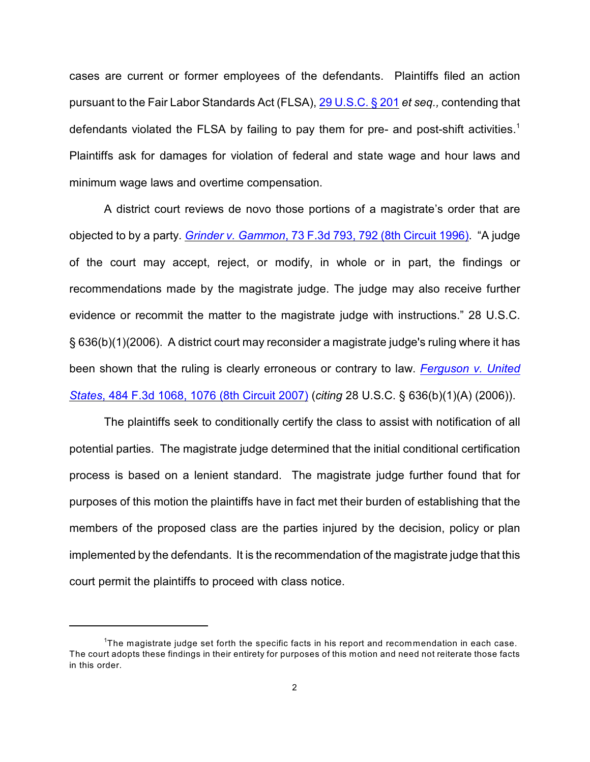cases are current or former employees of the defendants. Plaintiffs filed an action pursuant to the Fair Labor Standards Act (FLSA), [29 U.S.C. § 201](http://www.westlaw.com/find/default.wl?rs=CLWP3.0&vr=2.0&cite=29+USCA+s+201) *et seq.,* contending that defendants violated the FLSA by failing to pay them for pre- and post-shift activities.<sup>1</sup> Plaintiffs ask for damages for violation of federal and state wage and hour laws and minimum wage laws and overtime compensation.

A district court reviews de novo those portions of a magistrate's order that are objected to by a party. *Grinder v. Gammon*[, 73 F.3d 793, 792 \(8th Circuit 1996\)](http://www.westlaw.com/find/default.wl?rs=CLWP3.0&vr=2.0&cite=73+F.3d+793). "A judge of the court may accept, reject, or modify, in whole or in part, the findings or recommendations made by the magistrate judge. The judge may also receive further evidence or recommit the matter to the magistrate judge with instructions." 28 U.S.C. § 636(b)(1)(2006). A district court may reconsider a magistrate judge's ruling where it has been shown that the ruling is clearly erroneous or contrary to law. *[Ferguson v. United](http://www.westlaw.com/find/default.wl?rs=CLWP3.0&vr=2.0&cite=484+F.3d+1068) States*[, 484 F.3d 1068, 1076 \(8th Circuit 2007\)](http://www.westlaw.com/find/default.wl?rs=CLWP3.0&vr=2.0&cite=484+F.3d+1068) (*citing* 28 U.S.C. § 636(b)(1)(A) (2006)).

The plaintiffs seek to conditionally certify the class to assist with notification of all potential parties. The magistrate judge determined that the initial conditional certification process is based on a lenient standard. The magistrate judge further found that for purposes of this motion the plaintiffs have in fact met their burden of establishing that the members of the proposed class are the parties injured by the decision, policy or plan implemented by the defendants. It is the recommendation of the magistrate judge that this court permit the plaintiffs to proceed with class notice.

<sup>&</sup>lt;sup>1</sup>The magistrate judge set forth the specific facts in his report and recommendation in each case. The court adopts these findings in their entirety for purposes of this motion and need not reiterate those facts in this order.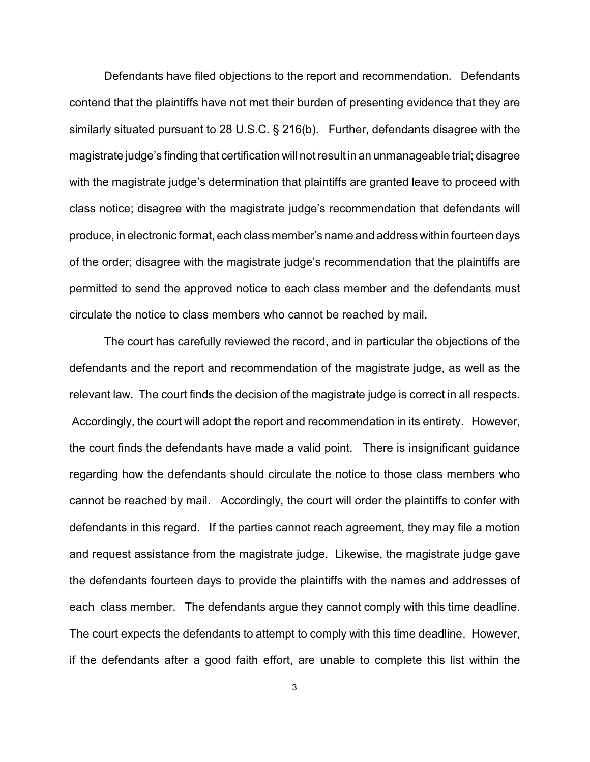Defendants have filed objections to the report and recommendation. Defendants contend that the plaintiffs have not met their burden of presenting evidence that they are similarly situated pursuant to 28 U.S.C. § 216(b). Further, defendants disagree with the magistrate judge's finding that certification will not result in an unmanageable trial; disagree with the magistrate judge's determination that plaintiffs are granted leave to proceed with class notice; disagree with the magistrate judge's recommendation that defendants will produce, in electronic format, each class member's name and address within fourteen days of the order; disagree with the magistrate judge's recommendation that the plaintiffs are permitted to send the approved notice to each class member and the defendants must circulate the notice to class members who cannot be reached by mail.

The court has carefully reviewed the record, and in particular the objections of the defendants and the report and recommendation of the magistrate judge, as well as the relevant law. The court finds the decision of the magistrate judge is correct in all respects. Accordingly, the court will adopt the report and recommendation in its entirety. However, the court finds the defendants have made a valid point. There is insignificant guidance regarding how the defendants should circulate the notice to those class members who cannot be reached by mail. Accordingly, the court will order the plaintiffs to confer with defendants in this regard. If the parties cannot reach agreement, they may file a motion and request assistance from the magistrate judge. Likewise, the magistrate judge gave the defendants fourteen days to provide the plaintiffs with the names and addresses of each class member. The defendants argue they cannot comply with this time deadline. The court expects the defendants to attempt to comply with this time deadline. However, if the defendants after a good faith effort, are unable to complete this list within the

3